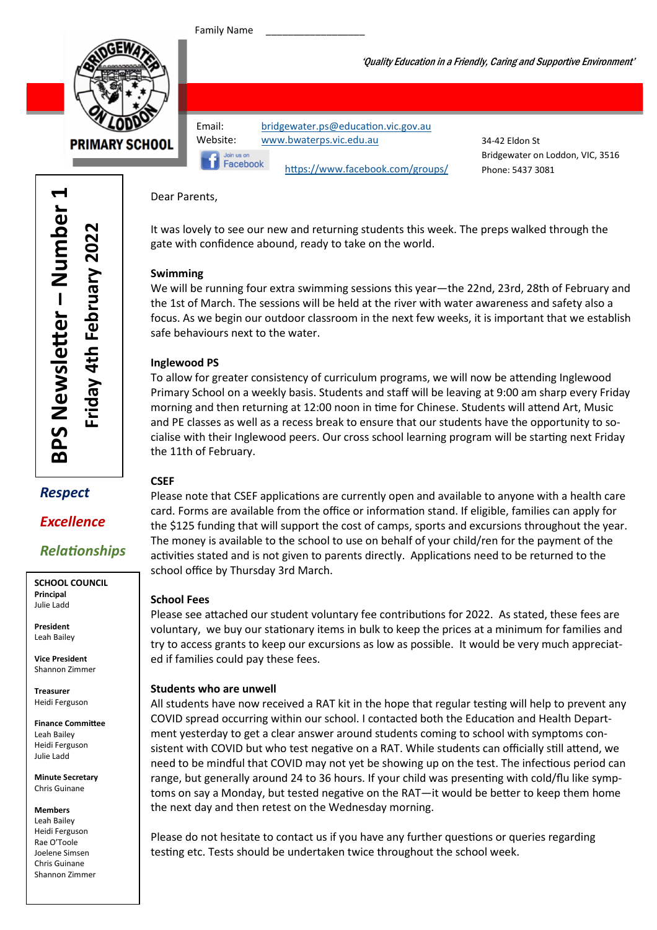Family Name



**PRIMARY SCHOOL** 

| Email:          | bridgewater.ps@education.vic.gov.au |                                  |
|-----------------|-------------------------------------|----------------------------------|
| Website:        | www.bwaterps.vic.edu.au             | 34-42 Eldon St                   |
| Join us on      |                                     | Bridgewater on Loddon, VIC, 3516 |
| <b>Facebook</b> | https://www.facebook.com/groups/    | Phone: 5437 3081                 |
|                 |                                     |                                  |

'Quality Education in a Friendly, Caring and Supportive Environment'

Dear Parents,

It was lovely to see our new and returning students this week. The preps walked through the gate with confidence abound, ready to take on the world.

#### Swimming

We will be running four extra swimming sessions this year—the 22nd, 23rd, 28th of February and the 1st of March. The sessions will be held at the river with water awareness and safety also a focus. As we begin our outdoor classroom in the next few weeks, it is important that we establish safe behaviours next to the water.

#### Inglewood PS

To allow for greater consistency of curriculum programs, we will now be attending Inglewood Primary School on a weekly basis. Students and staff will be leaving at 9:00 am sharp every Friday morning and then returning at 12:00 noon in time for Chinese. Students will attend Art, Music and PE classes as well as a recess break to ensure that our students have the opportunity to socialise with their Inglewood peers. Our cross school learning program will be starting next Friday the 11th of February.

#### **CSFF**

Please note that CSEF applications are currently open and available to anyone with a health care card. Forms are available from the office or information stand. If eligible, families can apply for the \$125 funding that will support the cost of camps, sports and excursions throughout the year. The money is available to the school to use on behalf of your child/ren for the payment of the activities stated and is not given to parents directly. Applications need to be returned to the school office by Thursday 3rd March.

#### School Fees

Please see attached our student voluntary fee contributions for 2022. As stated, these fees are voluntary, we buy our stationary items in bulk to keep the prices at a minimum for families and try to access grants to keep our excursions as low as possible. It would be very much appreciated if families could pay these fees.

#### Students who are unwell

All students have now received a RAT kit in the hope that regular testing will help to prevent any COVID spread occurring within our school. I contacted both the Education and Health Department yesterday to get a clear answer around students coming to school with symptoms consistent with COVID but who test negative on a RAT. While students can officially still attend, we need to be mindful that COVID may not yet be showing up on the test. The infectious period can range, but generally around 24 to 36 hours. If your child was presenting with cold/flu like symptoms on say a Monday, but tested negative on the RAT—it would be better to keep them home the next day and then retest on the Wednesday morning.

Please do not hesitate to contact us if you have any further questions or queries regarding testing etc. Tests should be undertaken twice throughout the school week.

Respect

**Excellence** 

**Relationships** 

SCHOOL COUNCIL Principal Julie Ladd

President Leah Bailey

Vice President Shannon Zimmer

Treasurer Heidi Ferguson

Finance Committee Leah Bailey Heidi Ferguson Julie Ladd

Minute Secretary Chris Guinane

Members

Leah Bailey Heidi Ferguson Rae O'Toole Joelene Simsen Chris Guinane Shannon Zimmer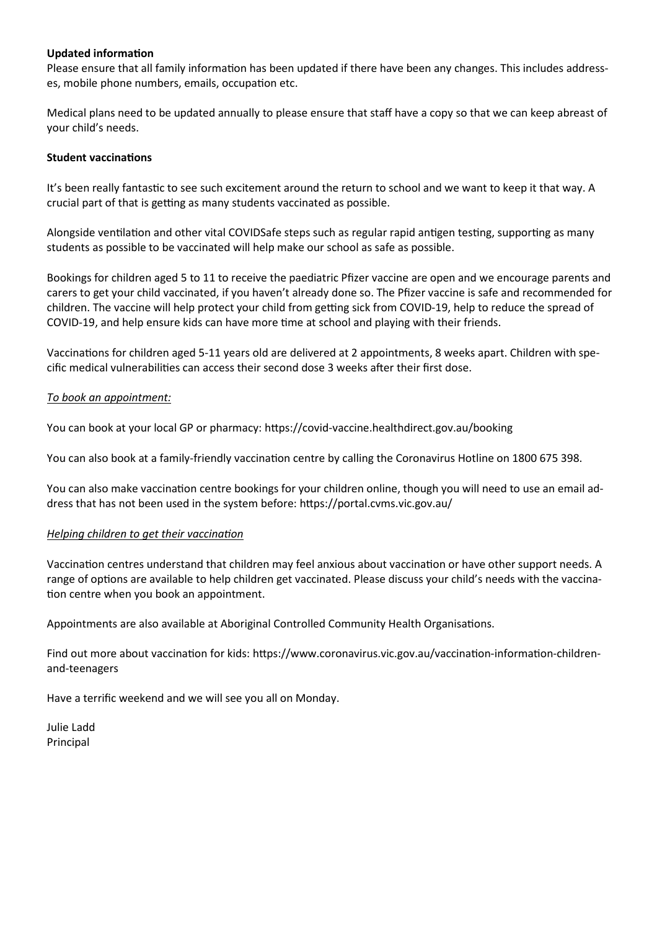#### **Updated information**

Please ensure that all family information has been updated if there have been any changes. This includes addresses, mobile phone numbers, emails, occupation etc.

Medical plans need to be updated annually to please ensure that staff have a copy so that we can keep abreast of your child's needs.

#### **Student vaccinations**

It's been really fantastic to see such excitement around the return to school and we want to keep it that way. A crucial part of that is getting as many students vaccinated as possible.

Alongside ventilation and other vital COVIDSafe steps such as regular rapid antigen testing, supporting as many students as possible to be vaccinated will help make our school as safe as possible.

Bookings for children aged 5 to 11 to receive the paediatric Pfizer vaccine are open and we encourage parents and carers to get your child vaccinated, if you haven't already done so. The Pfizer vaccine is safe and recommended for children. The vaccine will help protect your child from getting sick from COVID-19, help to reduce the spread of COVID-19, and help ensure kids can have more time at school and playing with their friends.

Vaccinations for children aged 5-11 years old are delivered at 2 appointments, 8 weeks apart. Children with specific medical vulnerabilities can access their second dose 3 weeks after their first dose.

#### To book an appointment:

You can book at your local GP or pharmacy: https://covid-vaccine.healthdirect.gov.au/booking

You can also book at a family-friendly vaccination centre by calling the Coronavirus Hotline on 1800 675 398.

You can also make vaccination centre bookings for your children online, though you will need to use an email address that has not been used in the system before: https://portal.cvms.vic.gov.au/

#### Helping children to get their vaccination

Vaccination centres understand that children may feel anxious about vaccination or have other support needs. A range of options are available to help children get vaccinated. Please discuss your child's needs with the vaccination centre when you book an appointment.

Appointments are also available at Aboriginal Controlled Community Health Organisations.

Find out more about vaccination for kids: https://www.coronavirus.vic.gov.au/vaccination-information-childrenand-teenagers

Have a terrific weekend and we will see you all on Monday.

Julie Ladd Principal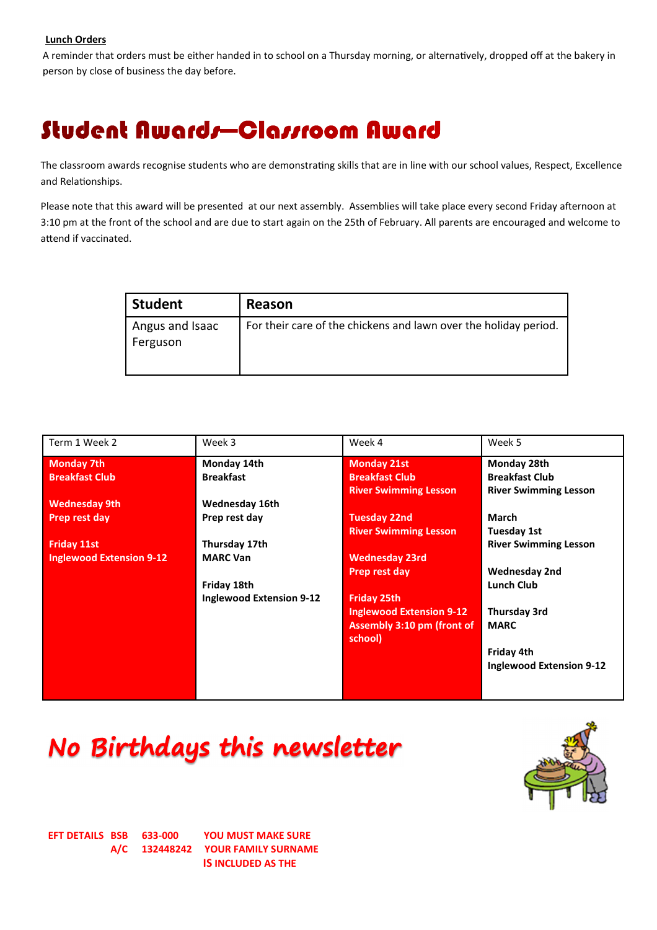#### Lunch Orders

A reminder that orders must be either handed in to school on a Thursday morning, or alternatively, dropped off at the bakery in person by close of business the day before.

### Student Awards—Classroom Award

The classroom awards recognise students who are demonstrating skills that are in line with our school values, Respect, Excellence and Relationships.

Please note that this award will be presented at our next assembly. Assemblies will take place every second Friday afternoon at 3:10 pm at the front of the school and are due to start again on the 25th of February. All parents are encouraged and welcome to attend if vaccinated.

| <b>Student</b>              | Reason                                                           |
|-----------------------------|------------------------------------------------------------------|
| Angus and Isaac<br>Ferguson | For their care of the chickens and lawn over the holiday period. |

| Term 1 Week 2                   | Week 3                          | Week 4                            | Week 5                          |
|---------------------------------|---------------------------------|-----------------------------------|---------------------------------|
| <b>Monday 7th</b>               | Monday 14th                     | <b>Monday 21st</b>                | Monday 28th                     |
| <b>Breakfast Club</b>           | <b>Breakfast</b>                | <b>Breakfast Club</b>             | <b>Breakfast Club</b>           |
|                                 |                                 | <b>River Swimming Lesson</b>      | <b>River Swimming Lesson</b>    |
| <b>Wednesday 9th</b>            | Wednesday 16th                  |                                   |                                 |
| Prep rest day                   | Prep rest day                   | <b>Tuesday 22nd</b>               | <b>March</b>                    |
|                                 |                                 | <b>River Swimming Lesson</b>      | Tuesday 1st                     |
| <b>Friday 11st</b>              | Thursday 17th                   |                                   | <b>River Swimming Lesson</b>    |
| <b>Inglewood Extension 9-12</b> | <b>MARC Van</b>                 | <b>Wednesday 23rd</b>             |                                 |
|                                 |                                 | Prep rest day                     | <b>Wednesday 2nd</b>            |
|                                 | Friday 18th                     |                                   | <b>Lunch Club</b>               |
|                                 | <b>Inglewood Extension 9-12</b> | <b>Friday 25th</b>                |                                 |
|                                 |                                 | <b>Inglewood Extension 9-12</b>   | <b>Thursday 3rd</b>             |
|                                 |                                 | <b>Assembly 3:10 pm (front of</b> | <b>MARC</b>                     |
|                                 |                                 | school)                           |                                 |
|                                 |                                 |                                   | Friday 4th                      |
|                                 |                                 |                                   | <b>Inglewood Extension 9-12</b> |
|                                 |                                 |                                   |                                 |
|                                 |                                 |                                   |                                 |

# No Birthdays this newsletter



EFT DETAILS BSB 633-000 YOU MUST MAKE SURE A/C 132448242 YOUR FAMILY SURNAME IS INCLUDED AS THE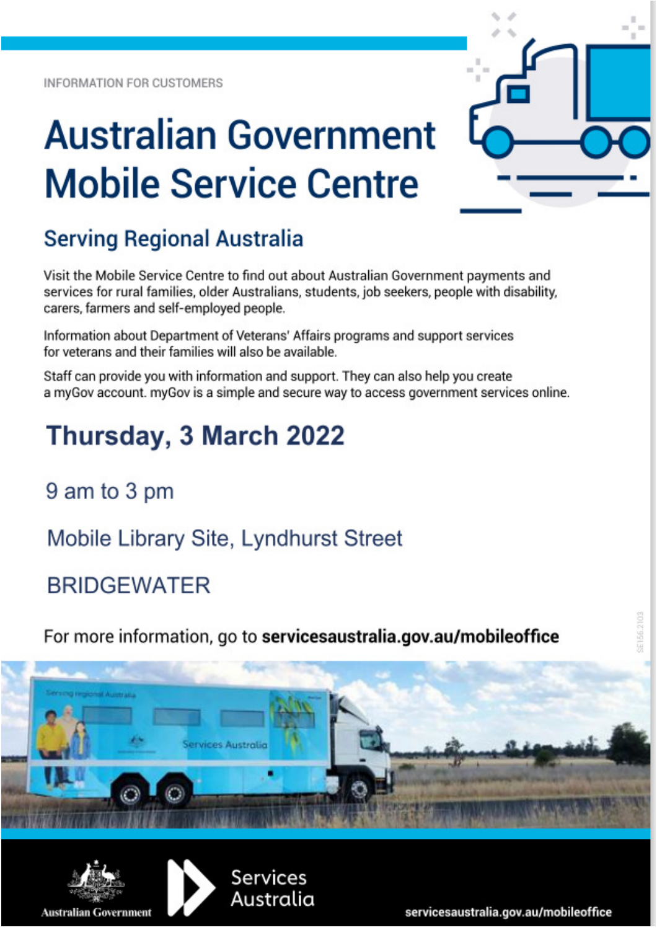**INFORMATION FOR CUSTOMERS** 

# **Australian Government Mobile Service Centre**

## **Serving Regional Australia**

Visit the Mobile Service Centre to find out about Australian Government payments and services for rural families, older Australians, students, job seekers, people with disability, carers, farmers and self-employed people.

Information about Department of Veterans' Affairs programs and support services for veterans and their families will also be available.

Staff can provide you with information and support. They can also help you create a myGov account. myGov is a simple and secure way to access government services online.

# Thursday, 3 March 2022

9 am to 3 pm

Mobile Library Site, Lyndhurst Street

**BRIDGEWATER** 

For more information, go to servicesaustralia.gov.au/mobileoffice







servicesaustralia.gov.au/mobileoffice